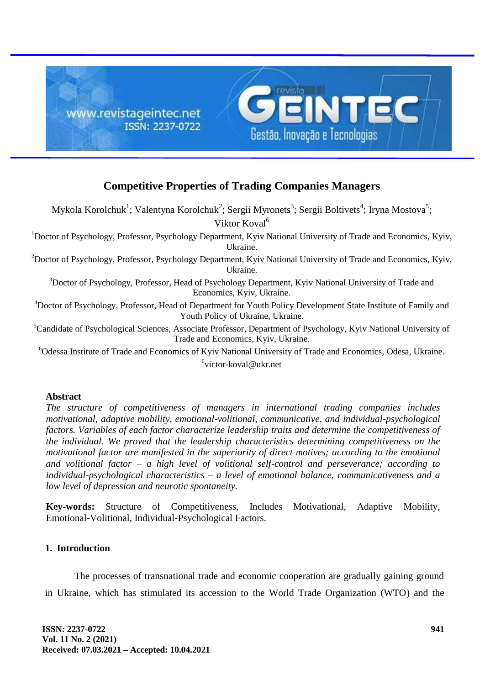

# **Competitive Properties of Trading Companies Managers**

Mykola Korolchuk $^1$ ; Valentyna Korolchuk $^2$ ; Sergii Myronets $^3$ ; Sergii Boltivets $^4$ ; Iryna Mostova $^5$ ; Viktor Koval<sup>6</sup>

<sup>1</sup>Doctor of Psychology, Professor, Psychology Department, Kyiv National University of Trade and Economics, Kyiv, Ukraine.

<sup>2</sup>Doctor of Psychology, Professor, Psychology Department, Kyiv National University of Trade and Economics, Kyiv, Ukraine.

<sup>3</sup>Doctor of Psychology, Professor, Head of Psychology Department, Kyiv National University of Trade and Economics, Kyiv, Ukraine.

<sup>4</sup>Doctor of Psychology, Professor, Head of Department for Youth Policy Development State Institute of Family and Youth Policy of Ukraine, Ukraine.

<sup>5</sup>Candidate of Psychological Sciences, Associate Professor, Department of Psychology, Kyiv National University of Trade and Economics, Kyiv, Ukraine.

<sup>6</sup>Odessa Institute of Trade and Economics of Kyiv National University of Trade and Economics, Odesa, Ukraine.

<sup>6</sup>victor-koval@ukr.net

## **Abstract**

*The structure of competitiveness of managers in international trading companies includes motivational, adaptive mobility, emotional-volitional, communicative, and individual-psychological factors. Variables of each factor characterize leadership traits and determine the competitiveness of the individual. We proved that the leadership characteristics determining competitiveness on the motivational factor are manifested in the superiority of direct motives; according to the emotional and volitional factor – a high level of volitional self-control and perseverance; according to individual-psychological characteristics – a level of emotional balance, communicativeness and a low level of depression and neurotic spontaneity.*

**Key-words:** Structure of Competitiveness, Includes Motivational, Adaptive Mobility, Emotional-Volitional, Individual-Psychological Factors.

## **1. Introduction**

The processes of transnational trade and economic cooperation are gradually gaining ground in Ukraine, which has stimulated its accession to the World Trade Organization (WTO) and the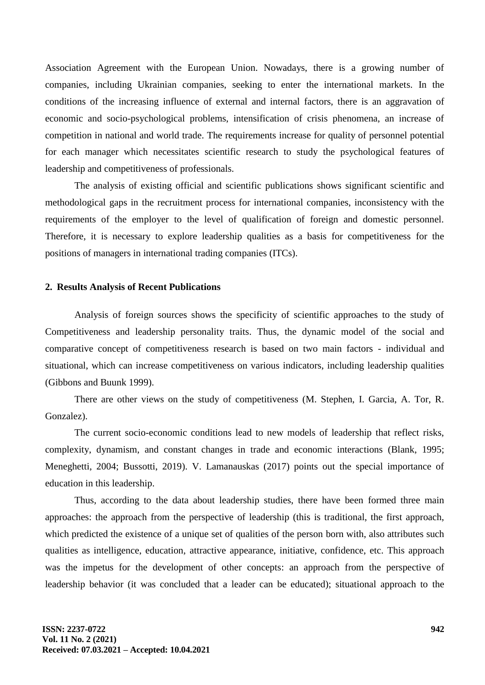Association Agreement with the European Union. Nowadays, there is a growing number of companies, including Ukrainian companies, seeking to enter the international markets. In the conditions of the increasing influence of external and internal factors, there is an aggravation of economic and socio-psychological problems, intensification of crisis phenomena, an increase of competition in national and world trade. The requirements increase for quality of personnel potential for each manager which necessitates scientific research to study the psychological features of leadership and competitiveness of professionals.

The analysis of existing official and scientific publications shows significant scientific and methodological gaps in the recruitment process for international companies, inconsistency with the requirements of the employer to the level of qualification of foreign and domestic personnel. Therefore, it is necessary to explore leadership qualities as a basis for competitiveness for the positions of managers in international trading companies (ITCs).

#### **2. Results Analysis of Recent Publications**

Analysis of foreign sources shows the specificity of scientific approaches to the study of Competitiveness and leadership personality traits. Thus, the dynamic model of the social and comparative concept of competitiveness research is based on two main factors - individual and situational, which can increase competitiveness on various indicators, including leadership qualities (Gibbons and Buunk 1999).

There are other views on the study of competitiveness (M. Stephen, I. Garcia, A. Tor, R. Gonzalez).

The current socio-economic conditions lead to new models of leadership that reflect risks, complexity, dynamism, and constant changes in trade and economic interactions (Blank, 1995; Meneghetti, 2004; Bussotti, 2019). V. Lamanauskas (2017) points out the special importance of education in this leadership.

Thus, according to the data about leadership studies, there have been formed three main approaches: the approach from the perspective of leadership (this is traditional, the first approach, which predicted the existence of a unique set of qualities of the person born with, also attributes such qualities as intelligence, education, attractive appearance, initiative, confidence, etc. This approach was the impetus for the development of other concepts: an approach from the perspective of leadership behavior (it was concluded that a leader can be educated); situational approach to the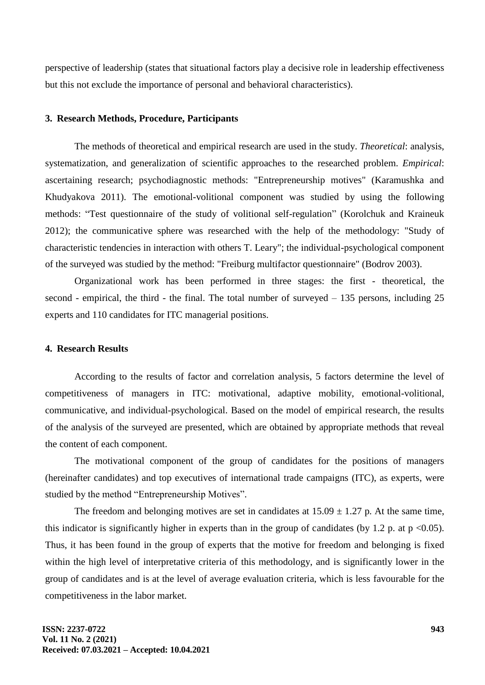perspective of leadership (states that situational factors play a decisive role in leadership effectiveness but this not exclude the importance of personal and behavioral characteristics).

#### **3. Research Methods, Procedure, Participants**

The methods of theoretical and empirical research are used in the study. *Theoretical*: analysis, systematization, and generalization of scientific approaches to the researched problem. *Empirical*: ascertaining research; psychodiagnostic methods: "Entrepreneurship motives" (Karamushka and Khudyakova 2011). The emotional-volitional component was studied by using the following methods: "Test questionnaire of the study of volitional self-regulation" (Korolchuk and Kraineuk 2012); the communicative sphere was researched with the help of the methodology: "Study of characteristic tendencies in interaction with others T. Leary"; the individual-psychological component of the surveyed was studied by the method: "Freiburg multifactor questionnaire" (Bodrov 2003).

Organizational work has been performed in three stages: the first - theoretical, the second - empirical, the third - the final. The total number of surveyed – 135 persons, including 25 experts and 110 candidates for ITC managerial positions.

### **4. Research Results**

According to the results of factor and correlation analysis, 5 factors determine the level of competitiveness of managers in ITC: motivational, adaptive mobility, emotional-volitional, communicative, and individual-psychological. Based on the model of empirical research, the results of the analysis of the surveyed are presented, which are obtained by appropriate methods that reveal the content of each component.

The motivational component of the group of candidates for the positions of managers (hereinafter candidates) and top executives of international trade campaigns (ITC), as experts, were studied by the method "Entrepreneurship Motives".

The freedom and belonging motives are set in candidates at  $15.09 \pm 1.27$  p. At the same time, this indicator is significantly higher in experts than in the group of candidates (by 1.2 p. at  $p \le 0.05$ ). Thus, it has been found in the group of experts that the motive for freedom and belonging is fixed within the high level of interpretative criteria of this methodology, and is significantly lower in the group of candidates and is at the level of average evaluation criteria, which is less favourable for the competitiveness in the labor market.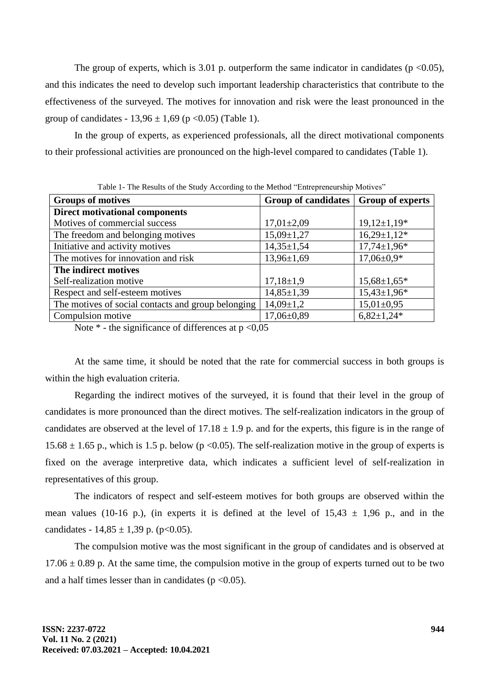The group of experts, which is 3.01 p. outperform the same indicator in candidates ( $p < 0.05$ ), and this indicates the need to develop such important leadership characteristics that contribute to the effectiveness of the surveyed. The motives for innovation and risk were the least pronounced in the group of candidates -  $13,96 \pm 1,69$  (p < 0.05) (Table 1).

In the group of experts, as experienced professionals, all the direct motivational components to their professional activities are pronounced on the high-level compared to candidates (Table 1).

| <b>Groups of motives</b>                           | <b>Group of candidates</b> | <b>Group of experts</b> |  |
|----------------------------------------------------|----------------------------|-------------------------|--|
| <b>Direct motivational components</b>              |                            |                         |  |
| Motives of commercial success                      | $17,01 \pm 2,09$           | $19,12\pm1,19*$         |  |
| The freedom and belonging motives                  | $15,09 \pm 1,27$           | $16,29 \pm 1,12^*$      |  |
| Initiative and activity motives                    | $14,35 \pm 1,54$           | $17,74 \pm 1,96*$       |  |
| The motives for innovation and risk                | $13,96 \pm 1,69$           | $17,06 \pm 0.9*$        |  |
| The indirect motives                               |                            |                         |  |
| Self-realization motive                            | $17,18\pm1,9$              | $15,68\pm1,65*$         |  |
| Respect and self-esteem motives                    | $14,85 \pm 1,39$           | $15,43\pm1,96*$         |  |
| The motives of social contacts and group belonging | $14,09 \pm 1,2$            | $15,01\pm0,95$          |  |
| Compulsion motive                                  | $17,06\pm0.89$             | $6,82\pm1,24*$          |  |

Table 1- The Results of the Study According to the Method "Entrepreneurship Motives"

Note  $*$  - the significance of differences at  $p < 0.05$ 

At the same time, it should be noted that the rate for commercial success in both groups is within the high evaluation criteria.

Regarding the indirect motives of the surveyed, it is found that their level in the group of candidates is more pronounced than the direct motives. The self-realization indicators in the group of candidates are observed at the level of  $17.18 \pm 1.9$  p. and for the experts, this figure is in the range of 15.68  $\pm$  1.65 p., which is 1.5 p. below (p <0.05). The self-realization motive in the group of experts is fixed on the average interpretive data, which indicates a sufficient level of self-realization in representatives of this group.

The indicators of respect and self-esteem motives for both groups are observed within the mean values (10-16 p.), (in experts it is defined at the level of  $15.43 \pm 1.96$  p., and in the candidates -  $14,85 \pm 1,39$  p. (p<0.05).

The compulsion motive was the most significant in the group of candidates and is observed at  $17.06 \pm 0.89$  p. At the same time, the compulsion motive in the group of experts turned out to be two and a half times lesser than in candidates ( $p < 0.05$ ).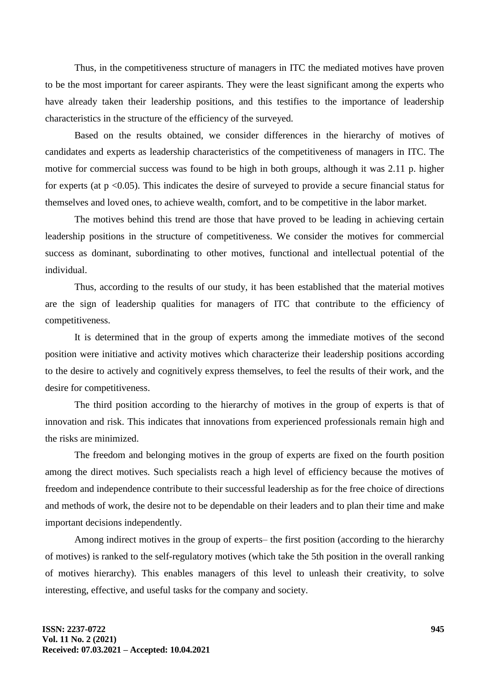Thus, in the competitiveness structure of managers in ITC the mediated motives have proven to be the most important for career aspirants. They were the least significant among the experts who have already taken their leadership positions, and this testifies to the importance of leadership characteristics in the structure of the efficiency of the surveyed.

Based on the results obtained, we consider differences in the hierarchy of motives of candidates and experts as leadership characteristics of the competitiveness of managers in ITC. The motive for commercial success was found to be high in both groups, although it was 2.11 p. higher for experts (at  $p \le 0.05$ ). This indicates the desire of surveyed to provide a secure financial status for themselves and loved ones, to achieve wealth, comfort, and to be competitive in the labor market.

The motives behind this trend are those that have proved to be leading in achieving certain leadership positions in the structure of competitiveness. We consider the motives for commercial success as dominant, subordinating to other motives, functional and intellectual potential of the individual.

Thus, according to the results of our study, it has been established that the material motives are the sign of leadership qualities for managers of ITC that contribute to the efficiency of competitiveness.

It is determined that in the group of experts among the immediate motives of the second position were initiative and activity motives which characterize their leadership positions according to the desire to actively and cognitively express themselves, to feel the results of their work, and the desire for competitiveness.

The third position according to the hierarchy of motives in the group of experts is that of innovation and risk. This indicates that innovations from experienced professionals remain high and the risks are minimized.

The freedom and belonging motives in the group of experts are fixed on the fourth position among the direct motives. Such specialists reach a high level of efficiency because the motives of freedom and independence contribute to their successful leadership as for the free choice of directions and methods of work, the desire not to be dependable on their leaders and to plan their time and make important decisions independently.

Among indirect motives in the group of experts– the first position (according to the hierarchy of motives) is ranked to the self-regulatory motives (which take the 5th position in the overall ranking of motives hierarchy). This enables managers of this level to unleash their creativity, to solve interesting, effective, and useful tasks for the company and society.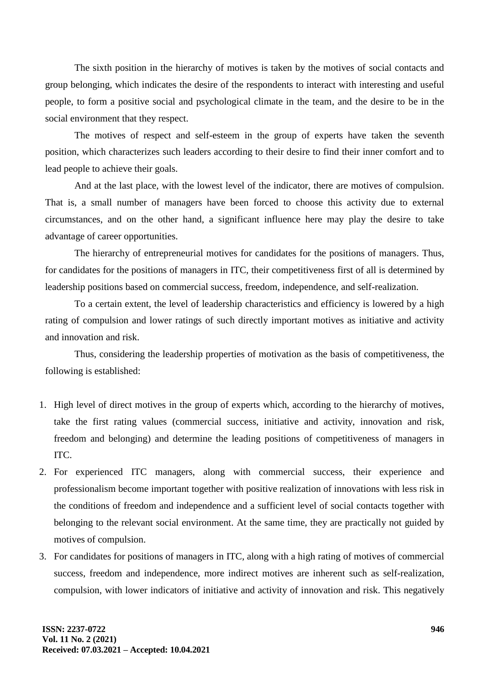The sixth position in the hierarchy of motives is taken by the motives of social contacts and group belonging, which indicates the desire of the respondents to interact with interesting and useful people, to form a positive social and psychological climate in the team, and the desire to be in the social environment that they respect.

The motives of respect and self-esteem in the group of experts have taken the seventh position, which characterizes such leaders according to their desire to find their inner comfort and to lead people to achieve their goals.

And at the last place, with the lowest level of the indicator, there are motives of compulsion. That is, a small number of managers have been forced to choose this activity due to external circumstances, and on the other hand, a significant influence here may play the desire to take advantage of career opportunities.

The hierarchy of entrepreneurial motives for candidates for the positions of managers. Thus, for candidates for the positions of managers in ITC, their competitiveness first of all is determined by leadership positions based on commercial success, freedom, independence, and self-realization.

To a certain extent, the level of leadership characteristics and efficiency is lowered by a high rating of compulsion and lower ratings of such directly important motives as initiative and activity and innovation and risk.

Thus, considering the leadership properties of motivation as the basis of competitiveness, the following is established:

- 1. High level of direct motives in the group of experts which, according to the hierarchy of motives, take the first rating values (commercial success, initiative and activity, innovation and risk, freedom and belonging) and determine the leading positions of competitiveness of managers in ITC.
- 2. For experienced ITC managers, along with commercial success, their experience and professionalism become important together with positive realization of innovations with less risk in the conditions of freedom and independence and a sufficient level of social contacts together with belonging to the relevant social environment. At the same time, they are practically not guided by motives of compulsion.
- 3. For candidates for positions of managers in ITC, along with a high rating of motives of commercial success, freedom and independence, more indirect motives are inherent such as self-realization, compulsion, with lower indicators of initiative and activity of innovation and risk. This negatively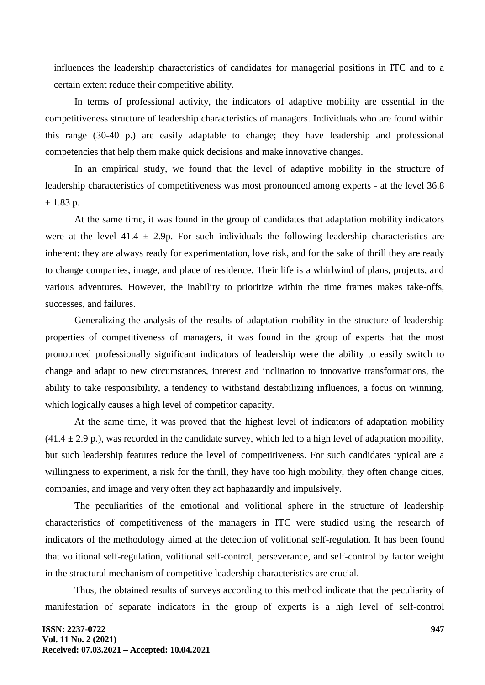influences the leadership characteristics of candidates for managerial positions in ITC and to a certain extent reduce their competitive ability.

In terms of professional activity, the indicators of adaptive mobility are essential in the competitiveness structure of leadership characteristics of managers. Individuals who are found within this range (30-40 p.) are easily adaptable to change; they have leadership and professional competencies that help them make quick decisions and make innovative changes.

In an empirical study, we found that the level of adaptive mobility in the structure of leadership characteristics of competitiveness was most pronounced among experts - at the level 36.8  $± 1.83$  p.

At the same time, it was found in the group of candidates that adaptation mobility indicators were at the level 41.4  $\pm$  2.9p. For such individuals the following leadership characteristics are inherent: they are always ready for experimentation, love risk, and for the sake of thrill they are ready to change companies, image, and place of residence. Their life is a whirlwind of plans, projects, and various adventures. However, the inability to prioritize within the time frames makes take-offs, successes, and failures.

Generalizing the analysis of the results of adaptation mobility in the structure of leadership properties of competitiveness of managers, it was found in the group of experts that the most pronounced professionally significant indicators of leadership were the ability to easily switch to change and adapt to new circumstances, interest and inclination to innovative transformations, the ability to take responsibility, a tendency to withstand destabilizing influences, a focus on winning, which logically causes a high level of competitor capacity.

At the same time, it was proved that the highest level of indicators of adaptation mobility  $(41.4 \pm 2.9 \text{ p.})$ , was recorded in the candidate survey, which led to a high level of adaptation mobility, but such leadership features reduce the level of competitiveness. For such candidates typical are a willingness to experiment, a risk for the thrill, they have too high mobility, they often change cities, companies, and image and very often they act haphazardly and impulsively.

The peculiarities of the emotional and volitional sphere in the structure of leadership characteristics of competitiveness of the managers in ITC were studied using the research of indicators of the methodology aimed at the detection of volitional self-regulation. It has been found that volitional self-regulation, volitional self-control, perseverance, and self-control by factor weight in the structural mechanism of competitive leadership characteristics are crucial.

Thus, the obtained results of surveys according to this method indicate that the peculiarity of manifestation of separate indicators in the group of experts is a high level of self-control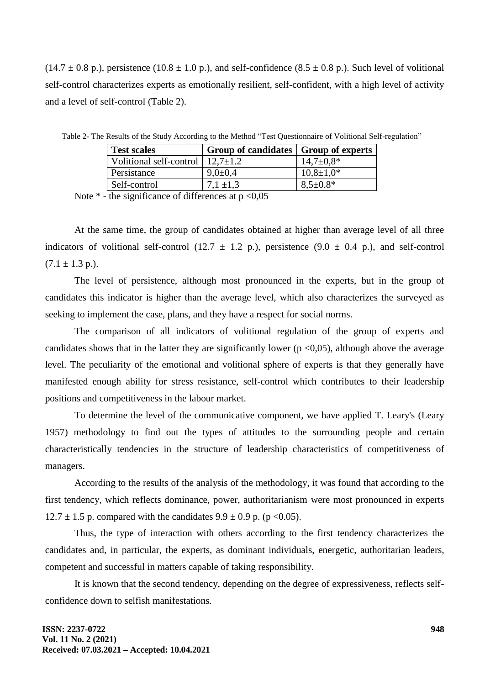$(14.7 \pm 0.8 \text{ p.})$ , persistence  $(10.8 \pm 1.0 \text{ p.})$ , and self-confidence  $(8.5 \pm 0.8 \text{ p.})$ . Such level of volitional self-control characterizes experts as emotionally resilient, self-confident, with a high level of activity and a level of self-control (Table 2).

| <b>Test scales</b>                             | Group of candidates   Group of experts |                 |
|------------------------------------------------|----------------------------------------|-----------------|
| Volitional self-control $\vert$ 12,7 $\pm$ 1.2 |                                        | $14,7 \pm 0.8*$ |
| Persistance                                    | $9.0 \pm 0.4$                          | $10,8{\pm}1,0*$ |
| Self-control                                   | $7.1 + 1.3$                            | $8.5 \pm 0.8*$  |

Table 2- The Results of the Study According to the Method "Test Questionnaire of Volitional Self-regulation"

Note  $*$  - the significance of differences at  $p < 0.05$ 

At the same time, the group of candidates obtained at higher than average level of all three indicators of volitional self-control (12.7  $\pm$  1.2 p.), persistence (9.0  $\pm$  0.4 p.), and self-control  $(7.1 \pm 1.3 \text{ p.}).$ 

The level of persistence, although most pronounced in the experts, but in the group of candidates this indicator is higher than the average level, which also characterizes the surveyed as seeking to implement the case, plans, and they have a respect for social norms.

The comparison of all indicators of volitional regulation of the group of experts and candidates shows that in the latter they are significantly lower ( $p \le 0.05$ ), although above the average level. The peculiarity of the emotional and volitional sphere of experts is that they generally have manifested enough ability for stress resistance, self-control which contributes to their leadership positions and competitiveness in the labour market.

To determine the level of the communicative component, we have applied T. Leary's (Leary 1957) methodology to find out the types of attitudes to the surrounding people and certain characteristically tendencies in the structure of leadership characteristics of competitiveness of managers.

According to the results of the analysis of the methodology, it was found that according to the first tendency, which reflects dominance, power, authoritarianism were most pronounced in experts  $12.7 \pm 1.5$  p. compared with the candidates  $9.9 \pm 0.9$  p. (p < 0.05).

Thus, the type of interaction with others according to the first tendency characterizes the candidates and, in particular, the experts, as dominant individuals, energetic, authoritarian leaders, competent and successful in matters capable of taking responsibility.

It is known that the second tendency, depending on the degree of expressiveness, reflects selfconfidence down to selfish manifestations.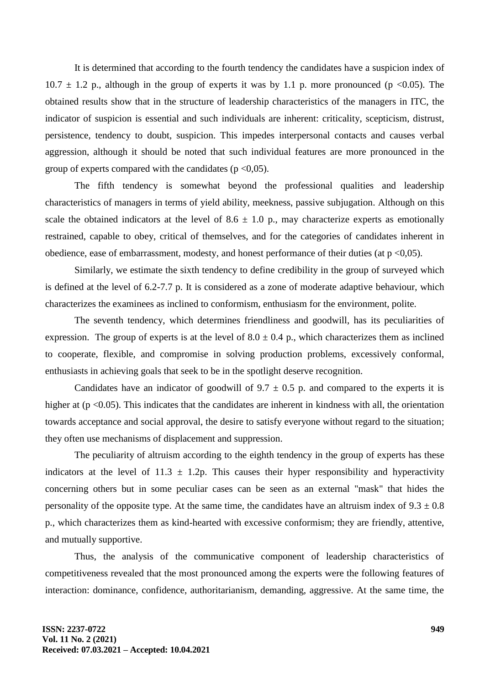It is determined that according to the fourth tendency the candidates have a suspicion index of  $10.7 \pm 1.2$  p., although in the group of experts it was by 1.1 p. more pronounced (p <0.05). The obtained results show that in the structure of leadership characteristics of the managers in ITC, the indicator of suspicion is essential and such individuals are inherent: criticality, scepticism, distrust, persistence, tendency to doubt, suspicion. This impedes interpersonal contacts and causes verbal aggression, although it should be noted that such individual features are more pronounced in the group of experts compared with the candidates ( $p \leq 0.05$ ).

The fifth tendency is somewhat beyond the professional qualities and leadership characteristics of managers in terms of yield ability, meekness, passive subjugation. Although on this scale the obtained indicators at the level of  $8.6 \pm 1.0$  p., may characterize experts as emotionally restrained, capable to obey, critical of themselves, and for the categories of candidates inherent in obedience, ease of embarrassment, modesty, and honest performance of their duties (at  $p \le 0.05$ ).

Similarly, we estimate the sixth tendency to define credibility in the group of surveyed which is defined at the level of 6.2-7.7 p. It is considered as a zone of moderate adaptive behaviour, which characterizes the examinees as inclined to conformism, enthusiasm for the environment, polite.

The seventh tendency, which determines friendliness and goodwill, has its peculiarities of expression. The group of experts is at the level of  $8.0 \pm 0.4$  p., which characterizes them as inclined to cooperate, flexible, and compromise in solving production problems, excessively conformal, enthusiasts in achieving goals that seek to be in the spotlight deserve recognition.

Candidates have an indicator of goodwill of  $9.7 \pm 0.5$  p. and compared to the experts it is higher at  $(p \le 0.05)$ . This indicates that the candidates are inherent in kindness with all, the orientation towards acceptance and social approval, the desire to satisfy everyone without regard to the situation; they often use mechanisms of displacement and suppression.

The peculiarity of altruism according to the eighth tendency in the group of experts has these indicators at the level of  $11.3 \pm 1.2$  p. This causes their hyper responsibility and hyperactivity concerning others but in some peculiar cases can be seen as an external "mask" that hides the personality of the opposite type. At the same time, the candidates have an altruism index of  $9.3 \pm 0.8$ p., which characterizes them as kind-hearted with excessive conformism; they are friendly, attentive, and mutually supportive.

Thus, the analysis of the communicative component of leadership characteristics of competitiveness revealed that the most pronounced among the experts were the following features of interaction: dominance, confidence, authoritarianism, demanding, aggressive. At the same time, the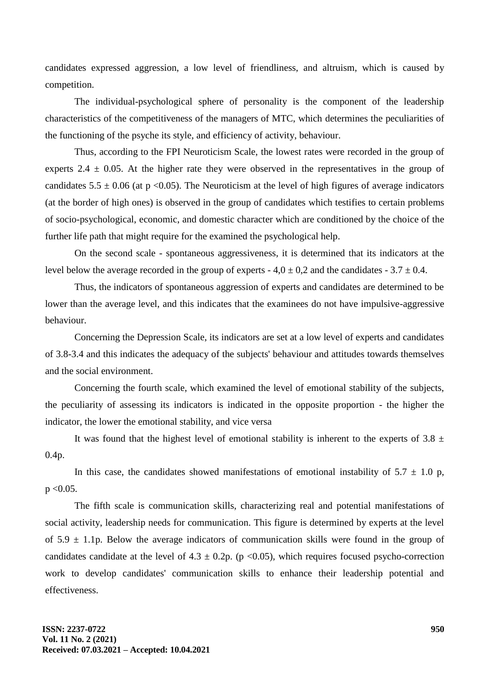candidates expressed aggression, a low level of friendliness, and altruism, which is caused by competition.

The individual-psychological sphere of personality is the component of the leadership characteristics of the competitiveness of the managers of MTC, which determines the peculiarities of the functioning of the psyche its style, and efficiency of activity, behaviour.

Thus, according to the FPI Neuroticism Scale, the lowest rates were recorded in the group of experts 2.4  $\pm$  0.05. At the higher rate they were observed in the representatives in the group of candidates  $5.5 \pm 0.06$  (at p <0.05). The Neuroticism at the level of high figures of average indicators (at the border of high ones) is observed in the group of candidates which testifies to certain problems of socio-psychological, economic, and domestic character which are conditioned by the choice of the further life path that might require for the examined the psychological help.

On the second scale - spontaneous aggressiveness, it is determined that its indicators at the level below the average recorded in the group of experts -  $4.0 \pm 0.2$  and the candidates -  $3.7 \pm 0.4$ .

Thus, the indicators of spontaneous aggression of experts and candidates are determined to be lower than the average level, and this indicates that the examinees do not have impulsive-aggressive behaviour.

Concerning the Depression Scale, its indicators are set at a low level of experts and candidates of 3.8-3.4 and this indicates the adequacy of the subjects' behaviour and attitudes towards themselves and the social environment.

Concerning the fourth scale, which examined the level of emotional stability of the subjects, the peculiarity of assessing its indicators is indicated in the opposite proportion - the higher the indicator, the lower the emotional stability, and vice versa

It was found that the highest level of emotional stability is inherent to the experts of 3.8  $\pm$ 0.4p.

In this case, the candidates showed manifestations of emotional instability of  $5.7 \pm 1.0$  p,  $p < 0.05$ .

The fifth scale is communication skills, characterizing real and potential manifestations of social activity, leadership needs for communication. This figure is determined by experts at the level of  $5.9 \pm 1.1$  p. Below the average indicators of communication skills were found in the group of candidates candidate at the level of  $4.3 \pm 0.2p$ . (p <0.05), which requires focused psycho-correction work to develop candidates' communication skills to enhance their leadership potential and effectiveness.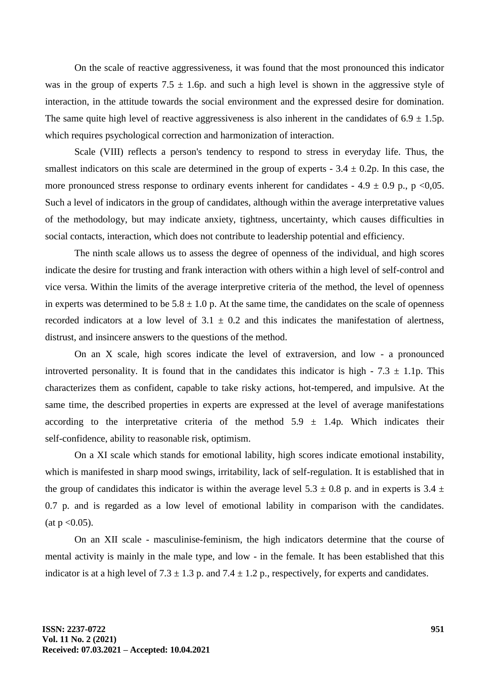On the scale of reactive aggressiveness, it was found that the most pronounced this indicator was in the group of experts  $7.5 \pm 1.6$  p. and such a high level is shown in the aggressive style of interaction, in the attitude towards the social environment and the expressed desire for domination. The same quite high level of reactive aggressiveness is also inherent in the candidates of  $6.9 \pm 1.5$ p. which requires psychological correction and harmonization of interaction.

Scale (VIII) reflects a person's tendency to respond to stress in everyday life. Thus, the smallest indicators on this scale are determined in the group of experts  $-3.4 \pm 0.2$ p. In this case, the more pronounced stress response to ordinary events inherent for candidates - 4.9  $\pm$  0.9 p., p <0,05. Such a level of indicators in the group of candidates, although within the average interpretative values of the methodology, but may indicate anxiety, tightness, uncertainty, which causes difficulties in social contacts, interaction, which does not contribute to leadership potential and efficiency.

The ninth scale allows us to assess the degree of openness of the individual, and high scores indicate the desire for trusting and frank interaction with others within a high level of self-control and vice versa. Within the limits of the average interpretive criteria of the method, the level of openness in experts was determined to be  $5.8 \pm 1.0$  p. At the same time, the candidates on the scale of openness recorded indicators at a low level of  $3.1 \pm 0.2$  and this indicates the manifestation of alertness, distrust, and insincere answers to the questions of the method.

On an X scale, high scores indicate the level of extraversion, and low - a pronounced introverted personality. It is found that in the candidates this indicator is high -  $7.3 \pm 1.1$ p. This characterizes them as confident, capable to take risky actions, hot-tempered, and impulsive. At the same time, the described properties in experts are expressed at the level of average manifestations according to the interpretative criteria of the method  $5.9 \pm 1.4$ p. Which indicates their self-confidence, ability to reasonable risk, optimism.

On a XI scale which stands for emotional lability, high scores indicate emotional instability, which is manifested in sharp mood swings, irritability, lack of self-regulation. It is established that in the group of candidates this indicator is within the average level  $5.3 \pm 0.8$  p. and in experts is  $3.4 \pm$ 0.7 p. and is regarded as a low level of emotional lability in comparison with the candidates.  $(at p < 0.05)$ .

On an XII scale - masculinise-feminism, the high indicators determine that the course of mental activity is mainly in the male type, and low - in the female. It has been established that this indicator is at a high level of  $7.3 \pm 1.3$  p. and  $7.4 \pm 1.2$  p., respectively, for experts and candidates.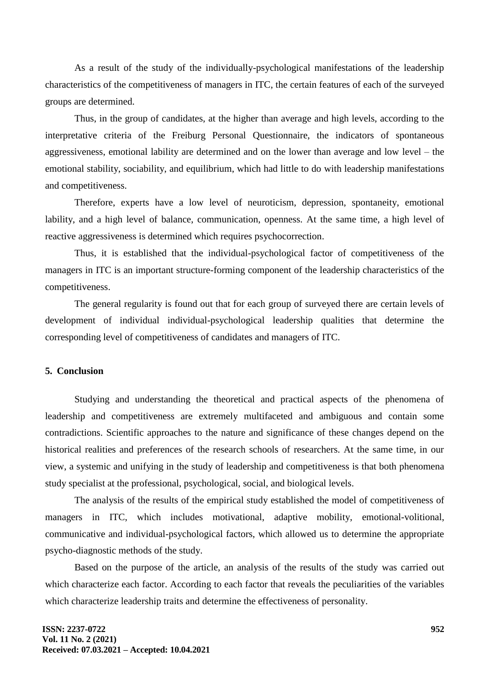As a result of the study of the individually-psychological manifestations of the leadership characteristics of the competitiveness of managers in ITC, the certain features of each of the surveyed groups are determined.

Thus, in the group of candidates, at the higher than average and high levels, according to the interpretative criteria of the Freiburg Personal Questionnaire, the indicators of spontaneous aggressiveness, emotional lability are determined and on the lower than average and low level – the emotional stability, sociability, and equilibrium, which had little to do with leadership manifestations and competitiveness.

Therefore, experts have a low level of neuroticism, depression, spontaneity, emotional lability, and a high level of balance, communication, openness. At the same time, a high level of reactive aggressiveness is determined which requires psychocorrection.

Thus, it is established that the individual-psychological factor of competitiveness of the managers in ITC is an important structure-forming component of the leadership characteristics of the competitiveness.

The general regularity is found out that for each group of surveyed there are certain levels of development of individual individual-psychological leadership qualities that determine the corresponding level of competitiveness of candidates and managers of ITC.

## **5. Conclusion**

Studying and understanding the theoretical and practical aspects of the phenomena of leadership and competitiveness are extremely multifaceted and ambiguous and contain some contradictions. Scientific approaches to the nature and significance of these changes depend on the historical realities and preferences of the research schools of researchers. At the same time, in our view, a systemic and unifying in the study of leadership and competitiveness is that both phenomena study specialist at the professional, psychological, social, and biological levels.

The analysis of the results of the empirical study established the model of competitiveness of managers in ITC, which includes motivational, adaptive mobility, emotional-volitional, communicative and individual-psychological factors, which allowed us to determine the appropriate psycho-diagnostic methods of the study.

Based on the purpose of the article, an analysis of the results of the study was carried out which characterize each factor. According to each factor that reveals the peculiarities of the variables which characterize leadership traits and determine the effectiveness of personality.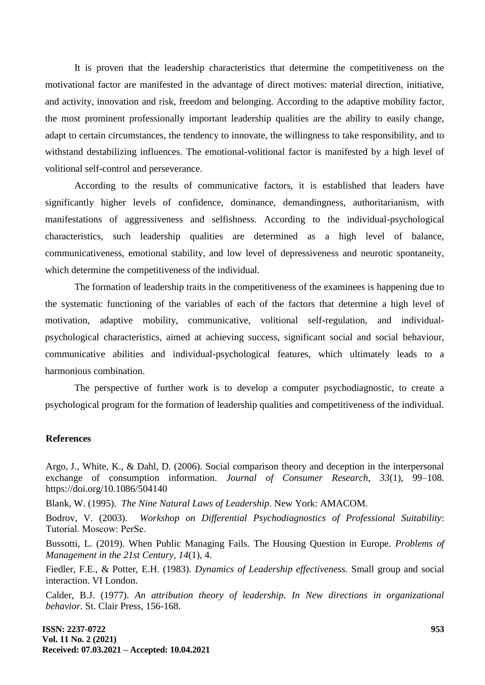It is proven that the leadership characteristics that determine the competitiveness on the motivational factor are manifested in the advantage of direct motives: material direction, initiative, and activity, innovation and risk, freedom and belonging. According to the adaptive mobility factor, the most prominent professionally important leadership qualities are the ability to easily change, adapt to certain circumstances, the tendency to innovate, the willingness to take responsibility, and to withstand destabilizing influences. The emotional-volitional factor is manifested by a high level of volitional self-control and perseverance.

According to the results of communicative factors, it is established that leaders have significantly higher levels of confidence, dominance, demandingness, authoritarianism, with manifestations of aggressiveness and selfishness. According to the individual-psychological characteristics, such leadership qualities are determined as a high level of balance, communicativeness, emotional stability, and low level of depressiveness and neurotic spontaneity, which determine the competitiveness of the individual.

The formation of leadership traits in the competitiveness of the examinees is happening due to the systematic functioning of the variables of each of the factors that determine a high level of motivation, adaptive mobility, communicative, volitional self-regulation, and individualpsychological characteristics, aimed at achieving success, significant social and social behaviour, communicative abilities and individual-psychological features, which ultimately leads to a harmonious combination.

The perspective of further work is to develop a computer psychodiagnostic, to create a psychological program for the formation of leadership qualities and competitiveness of the individual.

#### **References**

Argo, J., White, K., & Dahl, D. (2006). Social comparison theory and deception in the interpersonal exchange of consumption information. *Journal of Consumer Research*, *33*(1), 99–108. https://doi.org/10.1086/504140

Blank, W. (1995). *The Nine Natural Laws of Leadership*. New York: AMACOM.

Bodrov, V. (2003). *Workshop on Differential Psychodiagnostics of Professional Suitability*: Tutorial. Мoscow: PerSe.

Bussotti, L. (2019). When Public Managing Fails. The Housing Question in Europe. *Problems of Management in the 21st Century, 14*(1), 4.

Fiedler, F.E., & Potter, E.H. (1983). *Dynamics of Leadership effectiveness.* Small group and social interaction. VI London.

Calder, B.J. (1977). *An attribution theory of leadership. In New directions in organizational behavior.* St. Clair Press, 156-168.

**ISSN: 2237-0722 Vol. 11 No. 2 (2021) Received: 07.03.2021 – Accepted: 10.04.2021**